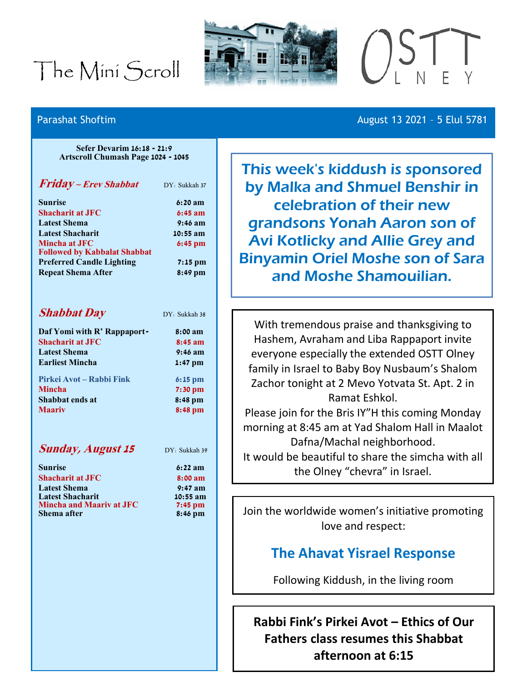# The Mini Scroll





#### Parashat Shoftim **August 13 2021 - 5 Elul 5781**

**Sefer Devarim 16:18 - 21:9 Artscroll Chumash Page 1024 - 1045**

| Friday ~ Erev Shabbat                                | DY: Sukkah 37 |
|------------------------------------------------------|---------------|
| <b>Sunrise</b>                                       | 6:20 a m      |
| <b>Shacharit at JFC</b>                              | $6:45$ am     |
| <b>Latest Shema</b>                                  | $9:46$ am     |
| <b>Latest Shacharit</b>                              | $10:55$ am    |
| Mincha at JFC<br><b>Followed by Kabbalat Shabbat</b> | $6:45$ pm     |
| <b>Preferred Candle Lighting</b>                     | $7:15$ pm     |
| <b>Repeat Shema After</b>                            | 8:49 pm       |

| <b>Shabbat Day</b>          | DY: Sukkah 38     |
|-----------------------------|-------------------|
| Daf Yomi with R' Rappaport- | $8:00$ am         |
| <b>Shacharit at JFC</b>     | $8:45$ am         |
| <b>Latest Shema</b>         | $9:46$ am         |
| <b>Earliest Mincha</b>      | $1:47$ pm         |
| Pirkei Avot – Rabbi Fink    | $6:15 \text{ pm}$ |
| <b>Mincha</b>               | $7:30$ pm         |
| Shabbat ends at             | 8:48 pm           |
| <b>Maariv</b>               | $8:48$ pm         |
|                             |                   |

### **Sunday, August 15** DY: Sukkah 39

**Sunrise 6:22 am S:00** am **Latest Shema 9:47 am Latest Shacharit 10:55 am 7:45 pm Shema after 8:46 pm**

| <b>Sunrise</b>                  |  |
|---------------------------------|--|
| <b>Shacharit at JFC</b>         |  |
| <b>Latest Shema</b>             |  |
| <b>Latest Shacharit</b>         |  |
| <b>Mincha and Maariv at JFC</b> |  |
| Shema after                     |  |

This week's kiddush is sponsored by Malka and Shmuel Benshir in celebration of their new grandsons Yonah Aaron son of Avi Kotlicky and Allie Grey and Binyamin Oriel Moshe son of Sara and Moshe Shamouilian.

With tremendous praise and thanksgiving to Hashem, Avraham and Liba Rappaport invite everyone especially the extended OSTT Olney family in Israel to Baby Boy Nusbaum's Shalom Zachor tonight at 2 Mevo Yotvata St. Apt. 2 in Ramat Eshkol. Please join for the Bris IY"H this coming Monday

morning at 8:45 am at Yad Shalom Hall in Maalot Dafna/Machal neighborhood.

It would be beautiful to share the simcha with all the Olney "chevra" in Israel.

Join the worldwide women's initiative promoting love and respect:

## **The Ahavat Yisrael Response**

Following Kiddush, in the living room

**Rabbi Fink's Pirkei Avot – Ethics of Our Fathers class resumes this Shabbat afternoon at 6:15**